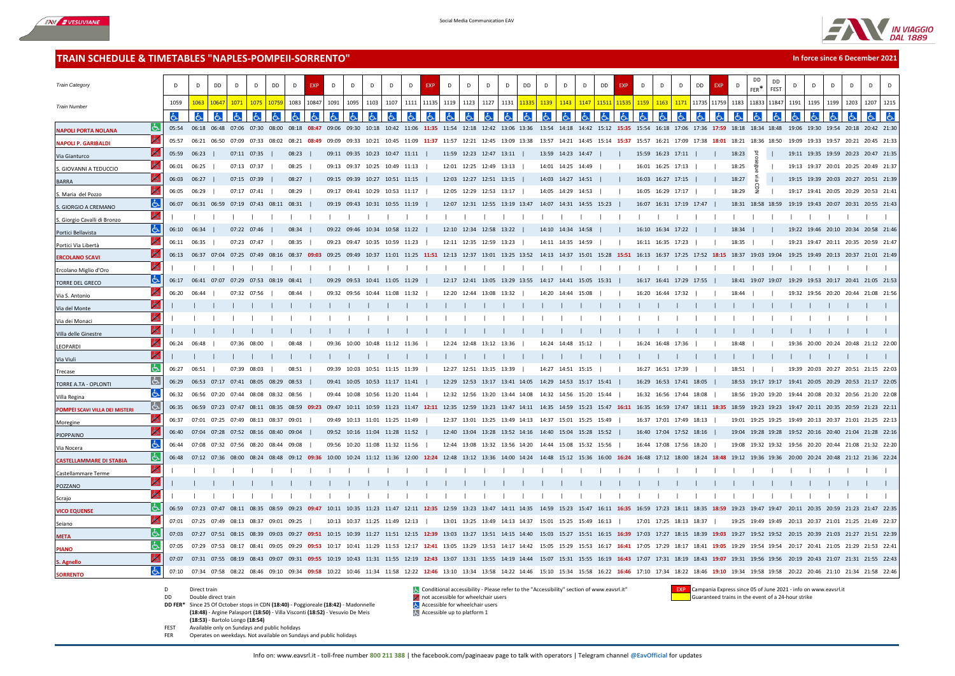



**In force since 6 December 2021**

## **TRAIN SCHEDULE & TIMETABLES "NAPLES-POMPEII-SORRENTO"**

| <b>Train Category</b>          |          | $\mathsf{D}$ | D                                   | DD    | D                                   | D           | DD           | D           | <b>EXP</b> | D           | D                                         | D     | D                 | D     | <b>EXP</b>  | $\mathsf{D}$ | D                                                           | D     | D           | DD    | $\mathsf{D}$            | D                 | D     | DD                | <b>EXP</b> | D                 | D                 | <b>DD</b><br>D                                                                                                                                                                                                                  |             | <b>EXP</b> | D     | DD<br>FFR <sup>*</sup>                                      | <b>DD</b><br>FEST | $\mathsf{D}$ | D     | D                                   | D    | D           |      |
|--------------------------------|----------|--------------|-------------------------------------|-------|-------------------------------------|-------------|--------------|-------------|------------|-------------|-------------------------------------------|-------|-------------------|-------|-------------|--------------|-------------------------------------------------------------|-------|-------------|-------|-------------------------|-------------------|-------|-------------------|------------|-------------------|-------------------|---------------------------------------------------------------------------------------------------------------------------------------------------------------------------------------------------------------------------------|-------------|------------|-------|-------------------------------------------------------------|-------------------|--------------|-------|-------------------------------------|------|-------------|------|
| <b>Train Number</b>            |          | 1059         | 1063                                | 10647 | 1071                                | 1075        | 1075         | 1083        | 10847      | 1091        | 1095                                      | 1103  | 1107              | 1111  | 11135       | 1119         | 1123                                                        | 1127  | 1131        |       | 1139                    | 1143              | 1147  | 1151              | 1153       | 1159              | 1163              | 1171                                                                                                                                                                                                                            | 11735 11759 |            | 1183  | 11833                                                       | 11847             | 1191         | 1195  | 1199                                | 1203 | 1207        | 1215 |
|                                |          | d            | l6.                                 |       | ۱Ġ                                  | ١Ġ          |              | ŀЬ          | ld.        |             | Iљ                                        |       |                   |       | lЬ          |              | රූ                                                          |       |             |       |                         |                   |       |                   |            |                   |                   |                                                                                                                                                                                                                                 |             |            |       |                                                             |                   |              | હ્ય   |                                     |      |             |      |
| <b>NAPOLI PORTA NOLANA</b>     | Iь       | 05:54        | 06:18                               |       | 06:48 07:06                         | 07:30 08:00 |              |             |            |             |                                           |       |                   |       |             |              |                                                             |       |             |       |                         |                   |       |                   |            |                   |                   | 08:18 08:47 09:06 09:30 10:18 10:42 11:06 11:35 11:54 12:18 12:42 13:06 13:36 13:54 14:18 14:42 15:12 15:35 15:54 16:18 17:06 17:36 17:59 18:18 18:34 18:48                                                                     |             |            |       |                                                             |                   |              |       | 19:06 19:30 19:54 20:18 20:42 21:30 |      |             |      |
| <b>NAPOLI P. GARIBALDI</b>     | O        | 05:57        | 06:21                               | 06:50 | 07:09                               | 07:33       | 08:02        | 08:21       | 08:49      | 09:09       | 09:33                                     |       | 10:21 10:45 11:09 |       | 11:37       |              | 11:57 12:21 12:45 13:09 13:38                               |       |             |       | 13:57 14:21 14:45       |                   |       | 15:14 15:37       |            | 15:57             |                   | 16:21 17:09 17:38                                                                                                                                                                                                               |             | 18:01      | 18:21 | 18:36 18:50                                                 |                   | 19:09        |       | 19:33 19:57 20:21 20:45 21:33       |      |             |      |
| Via Gianturco                  |          | 05:59 06:23  |                                     |       | 07:11 07:35                         |             |              | 08:23       |            |             | 09:11 09:35 10:23 10:47 11:11             |       |                   |       |             |              | 11:59 12:23 12:47 13:11                                     |       |             |       |                         | 13:59 14:23 14:47 |       |                   |            | 15:59 16:23 17:11 |                   |                                                                                                                                                                                                                                 |             |            | 18:23 | 马                                                           |                   |              |       | 19:11 19:35 19:59 20:23 20:47 21:35 |      |             |      |
| S. GIOVANNI A TEDUCCIO         |          | 06:01        | 06:25                               |       | 07:13 07:37                         |             |              | 08:25       |            |             | 09:13 09:37 10:25 10:49 11:13             |       |                   |       |             |              | 12:01 12:25 12:49 13:13                                     |       |             |       |                         | 14:01 14:25 14:49 |       |                   |            | 16:01 16:25 17:13 |                   |                                                                                                                                                                                                                                 |             |            | 18:25 |                                                             |                   |              |       | 19:13 19:37 20:01 20:25 20:49 21:37 |      |             |      |
| <b>BARRA</b>                   |          | 06:03 06:27  |                                     |       | 07:15 07:39                         |             |              | 08:27       |            |             | 09:15 09:39 10:27 10:51 11:15             |       |                   |       |             |              | 12:03 12:27 12:51 13:15                                     |       |             |       |                         | 14:03 14:27 14:51 |       |                   |            | 16:03 16:27 17:15 |                   |                                                                                                                                                                                                                                 |             |            | 18:27 | 읎                                                           |                   |              |       | 19:15 19:39 20:03 20:27 20:51 21:39 |      |             |      |
| S. Maria del Pozzo             |          | 06:05        | 06:29                               |       | 07:17 07:41                         |             |              | 08:29       |            |             | 09:17 09:41 10:29 10:53 11:17             |       |                   |       |             |              | 12:05 12:29 12:53 13:17                                     |       |             |       |                         | 14:05 14:29 14:53 |       |                   |            |                   | 16:05 16:29 17:17 |                                                                                                                                                                                                                                 |             |            | 18:29 | 뭉                                                           |                   |              |       | 19:17 19:41 20:05 20:29 20:53 21:4  |      |             |      |
| <b>GIORGIO A CREMANO</b>       | IЬ       | 06:07        | 06:31 06:59 07:19 07:43 08:11 08:31 |       |                                     |             |              |             |            |             | 09:19 09:43 10:31 10:55 11:19             |       |                   |       |             |              | 12:07 12:31 12:55 13:19 13:47                               |       |             |       | 14:07 14:31 14:55 15:23 |                   |       |                   |            |                   |                   | 16:07 16:31 17:19 17:47                                                                                                                                                                                                         |             |            |       | 18:31 18:58 18:59                                           |                   |              |       | 19:19 19:43 20:07 20:31 20:55 21:43 |      |             |      |
| S. Giorgio Cavalli di Bronzo   | ó.       |              |                                     |       |                                     |             |              |             |            |             |                                           |       |                   |       |             |              |                                                             |       |             |       |                         |                   |       |                   |            |                   |                   |                                                                                                                                                                                                                                 |             |            |       |                                                             |                   |              |       |                                     |      |             |      |
| Portici Bellavista             | Iص       | 06:10        | 06:34                               |       | 07:22 07:46                         |             |              | 08:34       |            | 09:22 09:46 |                                           | 10:34 | 10:58 11:22       |       |             |              | 12:10 12:34 12:58 13:22                                     |       |             |       |                         | 14:10 14:34       | 14:58 |                   |            |                   | 16:10 16:34 17:22 |                                                                                                                                                                                                                                 |             |            | 18:34 |                                                             |                   |              |       | 19:22 19:46 20:10 20:34 20:58 21:46 |      |             |      |
| Portici Via Libertà            |          | 06:11 06:35  |                                     |       | 07:23 07:47                         |             |              | 08:35       |            |             | 09:23 09:47 10:35 10:59 11:23             |       |                   |       |             |              | 12:11 12:35 12:59 13:23                                     |       |             |       | 14:11 14:35 14:59       |                   |       |                   |            | 16:11 16:35 17:23 |                   |                                                                                                                                                                                                                                 |             |            | 18:35 |                                                             |                   |              |       | 19:23 19:47 20:11 20:35 20:59 21:47 |      |             |      |
| <b>ERCOLANO SCAVI</b>          |          |              | 06:13 06:37 07:04                   |       | 07:25 07:49 08:16                   |             |              | 08:37 09:03 |            |             | 09:25 09:49 10:37 11:01 11:25 11:51 12:13 |       |                   |       |             |              | 12:37 13:01 13:25 13:52                                     |       |             |       |                         |                   |       |                   |            |                   |                   | 14:13 14:37 15:01 15:28 15:51 16:13 16:37 17:25 17:52                                                                                                                                                                           |             | 18:15      |       | 18:37 19:03 19:04                                           |                   |              |       | 19:25 19:49 20:13 20:37 21:01 21:49 |      |             |      |
| Ercolano Miglio d'Oro          | Ъ        |              |                                     |       |                                     |             |              |             |            |             |                                           |       |                   |       |             |              |                                                             |       |             |       |                         |                   |       |                   |            |                   |                   |                                                                                                                                                                                                                                 |             |            |       |                                                             |                   |              |       |                                     |      |             |      |
| <b>TORRE DEL GRECO</b>         | IЬ       | 06:17        | 06:41 07:07 07:29 07:53             |       |                                     |             | 08:19        | 08:41       |            | 09:29 09:53 |                                           | 10:41 | 11:05 11:29       |       |             |              | 12:17 12:41 13:05 13:29 13:55                               |       |             |       | 14:17 14:41 15:05 15:31 |                   |       |                   |            |                   |                   | 16:17 16:41 17:29 17:55                                                                                                                                                                                                         |             |            |       | 18:41 19:07 19:07                                           |                   |              |       | 19:29 19:53 20:17 20:41 21:05 21:53 |      |             |      |
| Via S. Antonio                 |          | 06:20        | 06:44                               |       | 07:32                               | 07:56       |              | 08:44       |            | 09:32       | 09:56                                     | 10:44 |                   |       |             | 12:20        | 12:44 13:08                                                 |       | 13:32       |       | 14:20                   | 14:44             | 15:08 |                   |            | 16:20             | 16:44             |                                                                                                                                                                                                                                 |             |            | 18:44 |                                                             |                   |              |       | 19:32 19:56 20:20 20:44 21:08 21:56 |      |             |      |
| Via del Monte                  |          |              |                                     |       |                                     |             |              |             |            |             |                                           |       |                   |       |             |              |                                                             |       |             |       |                         |                   |       |                   |            |                   |                   |                                                                                                                                                                                                                                 |             |            |       |                                                             |                   |              |       |                                     |      |             |      |
| Via dei Monaci                 | ь        |              |                                     |       |                                     |             |              |             |            |             |                                           |       |                   |       |             |              |                                                             |       |             |       |                         |                   |       |                   |            |                   |                   |                                                                                                                                                                                                                                 |             |            |       |                                                             |                   |              |       |                                     |      |             |      |
| Villa delle Ginestre           | lÒ.      |              |                                     |       |                                     |             |              |             |            |             |                                           |       |                   |       |             |              |                                                             |       |             |       |                         |                   |       |                   |            |                   |                   |                                                                                                                                                                                                                                 |             |            |       |                                                             |                   |              |       |                                     |      |             |      |
| LEOPARDI                       |          | 06:24        | 06:48                               |       | 07.36                               | 08:00       |              | 08:48       |            | 09:36       | 10:00                                     | 10.48 |                   |       |             | 12:24        | 12:48                                                       | 13.12 |             |       | 14:24                   | 14.48             |       |                   |            | 16:24             |                   |                                                                                                                                                                                                                                 |             |            | 18.48 |                                                             |                   | 19:36        | 20:00 |                                     |      | 21:12 22:00 |      |
| Via Viuli                      | Ъ        |              |                                     |       |                                     |             |              |             |            |             |                                           |       |                   |       |             |              |                                                             |       |             |       |                         |                   |       |                   |            |                   |                   |                                                                                                                                                                                                                                 |             |            |       |                                                             |                   |              |       |                                     |      |             |      |
| Trecase                        | よ        | 06:27        | 06:51                               |       | 07:39                               | 08:03       |              | 08:51       |            |             | 09:39 10:03 10:51 11:15 11:39             |       |                   |       |             |              | 12:27 12:51 13:15 13:39                                     |       |             |       |                         | 14:27 14:51 15:15 |       |                   |            |                   | 16:27 16:51 17:39 |                                                                                                                                                                                                                                 |             |            | 18:51 |                                                             |                   |              |       | 19:39 20:03 20:27 20:51 21:15 22:03 |      |             |      |
| TORRE A.TA - OPLONTI           | ló.      | 06:29        | 06:53 07:17 07:41 08:05             |       |                                     |             | 08:29        | 08:53       |            |             | 09:41 10:05 10:53 11:17 11:41             |       |                   |       |             |              | 12:29 12:53 13:17 13:41 14:05                               |       |             |       | 14:29 14:53 15:17 15:41 |                   |       |                   |            |                   |                   | 16:29 16:53 17:41 18:05                                                                                                                                                                                                         |             |            |       | 18:53 19:17 19:17                                           |                   |              |       | 19:41 20:05 20:29 20:53 21:17 22:05 |      |             |      |
| Villa Regina                   | よ        | 06:32        |                                     |       | 06:56 07:20 07:44 08:08             |             | 08:32        | 08:56       |            |             | 09:44 10:08 10:56 11:20 11:44             |       |                   |       |             |              | 12:32 12:56 13:20 13:44 14:08                               |       |             |       | 14:32 14:56 15:20       |                   |       | 15:44             |            |                   |                   | 16:32 16:56 17:44 18:08                                                                                                                                                                                                         |             |            |       | 18:56 19:20 19:20                                           |                   |              |       | 19:44 20:08 20:32 20:56 21:20 22:08 |      |             |      |
| POMPEI SCAVI VILLA DEI MISTERI | It.      |              |                                     |       |                                     |             |              |             |            |             |                                           |       |                   |       |             |              |                                                             |       |             |       |                         |                   |       |                   |            |                   |                   | 06:35 06:59 07:23 07:47 08:11 08:35 08:59 09:23 09:47 10:11 10:59 11:23 11:47 12:11 12:35 12:59 13:23 13:47 14:11 14:35 14:59 15:23 15:47 16:11 16:35 16:59 17:47 18:11 18:35                                                   |             |            |       | 18:59 19:23 19:23 19:47 20:11 20:35 20:59 21:23 22:11       |                   |              |       |                                     |      |             |      |
| Moregine                       | Ò.       | 06:37        |                                     |       | 07:01 07:25 07:49 08:13 08:37 09:01 |             |              |             |            | 09:49       | 10:13 11:01 11:25 11:49                   |       |                   |       |             |              | 12:37 13:01 13:25 13:49 14:13 14:37 15:01 15:25 15:49       |       |             |       |                         |                   |       |                   |            |                   |                   | 16:37 17:01 17:49 18:13                                                                                                                                                                                                         |             |            |       | 19:01 19:25 19:25                                           |                   |              |       | 19:49 20:13 20:37 21:01 21:25 22:13 |      |             |      |
| PIOPPAINO                      |          | 06:40        | 07:04 07:28 07:52 08:16 08:40 09:04 |       |                                     |             |              |             |            |             | 09:52 10:16 11:04 11:28 11:52             |       |                   |       |             |              | 12:40 13:04 13:28 13:52 14:16 14:40 15:04 15:28 15:52       |       |             |       |                         |                   |       |                   |            |                   |                   | 16:40 17:04 17:52 18:16                                                                                                                                                                                                         |             |            |       | 19:04 19:28 19:28 19:52 20:16 20:40 21:04 21:28 22:16       |                   |              |       |                                     |      |             |      |
| Via Nocera                     | Ġ.       | 06:44        |                                     |       | 07:08 07:32 07:56 08:20 08:44 09:08 |             |              |             |            |             | 09:56 10:20 11:08 11:32 11:56             |       |                   |       |             |              | 12:44 13:08 13:32 13:56 14:20                               |       |             |       | 14:44 15:08 15:32 15:56 |                   |       |                   |            |                   |                   | 16:44 17:08 17:56 18:20                                                                                                                                                                                                         |             |            |       | 19:08 19:32 19:32                                           |                   |              |       | 19:56 20:20 20:44 21:08 21:32 22:20 |      |             |      |
| <b>CASTELLAMMARE DI STABIA</b> | IЬ       | 06:48        | $07.12$ $07.36$ $08.00$             |       |                                     | 08.24       | 08.48        | 09.12       | 88.00      |             | 10:00 10:24 11:12 11:36 12:00             |       |                   |       |             |              | 12:24 12:48 13:12 13:36 14:00 14:24 14:48 15:12 15:36 16:00 |       |             |       |                         |                   |       |                   |            |                   |                   | 16:24 16:48 17:12 18:00 18:24                                                                                                                                                                                                   |             |            |       | 19:12 19:36 19:36 20:00 20:24 20:48 21:12 21:36 22:24       |                   |              |       |                                     |      |             |      |
| Castellammare Terme            | 6.       |              |                                     |       |                                     |             |              |             |            |             |                                           |       |                   |       |             |              |                                                             |       |             |       |                         |                   |       |                   |            |                   |                   |                                                                                                                                                                                                                                 |             |            |       |                                                             |                   |              |       |                                     |      |             |      |
| POZZANO                        |          |              |                                     |       |                                     |             |              |             |            |             |                                           |       |                   |       |             |              |                                                             |       |             |       |                         |                   |       |                   |            |                   |                   |                                                                                                                                                                                                                                 |             |            |       |                                                             |                   |              |       |                                     |      |             |      |
| Scrajo                         |          |              |                                     |       |                                     |             |              |             |            |             |                                           |       |                   |       |             |              |                                                             |       |             |       |                         |                   |       |                   |            |                   |                   |                                                                                                                                                                                                                                 |             |            |       |                                                             |                   |              |       |                                     |      |             |      |
| <b>VICO EQUENSE</b>            | lė.      | 06:59        | 07:23                               | 07.47 |                                     | 08:35       | <b>08.59</b> | 09.23       |            | 10:11       | 10:35                                     | 11.23 | 11.47             | 12.11 | 12.35       | 12:59        | 13:23 13:47 14:11                                           |       |             | 14.35 | 14.59                   | 15:23             |       | 15:47 16:11 16:35 |            | 16.59             | 17.23             |                                                                                                                                                                                                                                 |             |            | 19.23 |                                                             |                   | 20:11        | 20:35 | 20:59 21:23                         |      | 21:47 22:35 |      |
| Seiano                         | <b>G</b> | 07:01        | 07:25 07:49                         |       | 08:13                               | 08:37       | 09:01        | 09:25       |            |             | 10:13 10:37 11:25 11:49 12:13             |       |                   |       |             |              | 13:01 13:25 13:49 14:13 14:37                               |       |             |       | 15:01 15:25 15:49 16:13 |                   |       |                   |            | 17:01             |                   | 17:25 18:13 18:37                                                                                                                                                                                                               |             |            |       | 19:25 19:49 19:49                                           |                   |              |       | 20:13 20:37 21:01 21:25 21:49 22:37 |      |             |      |
| <b>META</b>                    | Ić٠      | 07:03        | 07:27 07:51 08:15 08:39 09:03       |       |                                     |             |              | 09:27       | 09:51      |             |                                           |       |                   |       |             |              |                                                             |       |             |       |                         |                   |       |                   |            |                   |                   | 10:15 10:39 11:27 11:51 12:15 12:39 13:03 13:27 13:51 14:15 14:40 15:03 15:27 15:51 16:15 16:39 17:03 17:27 18:15 18:39                                                                                                         |             |            |       | 19:03 19:27 19:52 19:52 20:15 20:39 21:03 21:27 21:51 22:39 |                   |              |       |                                     |      |             |      |
| <b>PIANO</b>                   | lĠ.      | 07:05        | 07:29 07:53                         |       | 08:17                               |             |              | 09:29       | 09:53      | 10:17       | 10:41                                     | 11:29 | 11:53             | 12:17 | 12:41 13:05 |              | 13:29                                                       | 13:53 | 14:17 14:42 |       | 15:05                   | 15:29             | 15:53 | 16:17             |            | 17:05             | 17:29             | 18:41                                                                                                                                                                                                                           |             | 19:05      | 19:29 | 19:54 19:54                                                 |                   |              |       | 20:17 20:41 21:05 21:29 21:53 22:41 |      |             |      |
| S. Agnello                     |          |              |                                     |       |                                     |             |              |             |            |             |                                           |       |                   |       |             |              |                                                             |       |             |       |                         |                   |       |                   |            |                   |                   | 07:07 07:31 07:55 08:19 08:43 09:07 09:31 09:55 10:19 10:43 11:31 11:55 12:19 12:43 13:07 13:31 13:55 14:19 14:44 15:07 15:31 15:55 16:19 16:43 17:07 17:31 18:19 18:43 19:07 19:31 19:56 19:56 20:19 20:43 21:07 21:31 21:55 2 |             |            |       |                                                             |                   |              |       |                                     |      |             |      |
| <b>SORRENTO</b>                | Ġ.       |              |                                     |       |                                     |             |              |             |            |             |                                           |       |                   |       |             |              |                                                             |       |             |       |                         |                   |       |                   |            |                   |                   | 07:10 07:34 07:58 08:22 08:46 09:10 09:34 09:58 10:22 10:46 11:34 11:58 12:22 12:46 13:10 13:34 13:58 14:22 14:46 15:10 15:34 15:58 16:22 16:46 17:10 17:34 18:22 18:46 19:10 19:34 19:58 19:58 20:22 20:46 21:10 21:34 13:58 1 |             |            |       |                                                             |                   |              |       |                                     |      |             |      |

- 
- 
- **DD FER\*** Since 25 Of October stops in CDN **(18:40)** Poggioreale **(18:42)** Madonnelle **Computer Constant Since 25 Of October stops in CDN (18:40)** Poggioreale **(18:42)** Madonnelle **(18:48)** - Argine Palasport **(18:50)** - Villa Visconti **(18:52)** - Vesuvio De Meis
- **(18:53)**  Bartolo Longo **(18:54)**
- 
- FEST Available only on Sundays and public holidays Operates on weekdays. Not available on Sundays and public holidays

D Direct train Conditional accessibility - Please refer to the "Accessibility" section of www.eavsrl.it" **EXP** Campania Express since 05 of June 2021 - info on www.eavsrl.it<br>D Double direct train and the event of a 24-hour **DE** not accessible for wheelchair users **Guaranteed trains in the event of a 24-hour strike** and the event of a 24-hour strike trains in the event of a 24-hour strike

- 
- Accessible up to platform 1